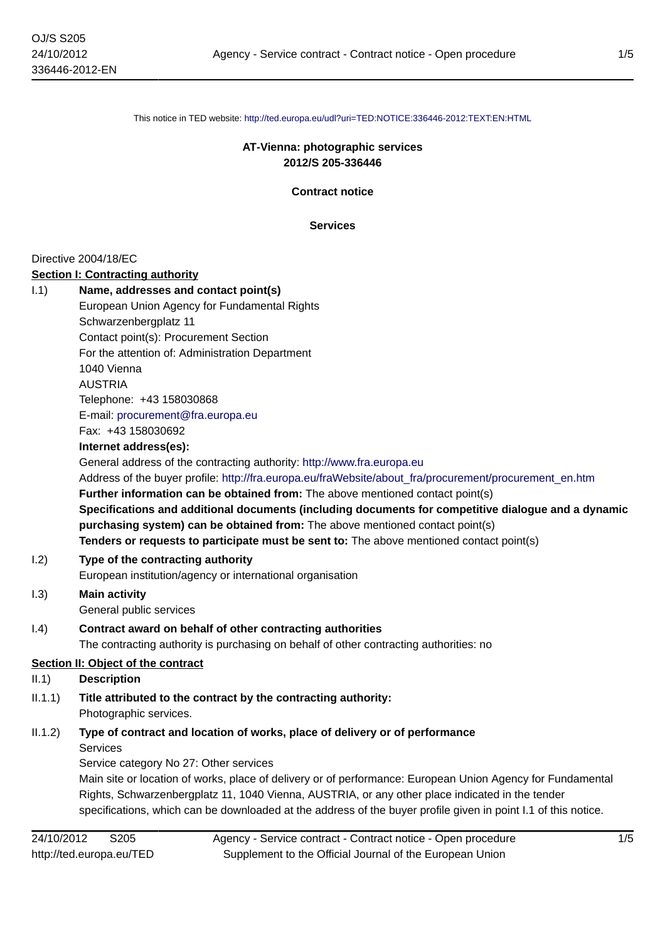This notice in TED website: <http://ted.europa.eu/udl?uri=TED:NOTICE:336446-2012:TEXT:EN:HTML>

#### **AT-Vienna: photographic services 2012/S 205-336446**

**Contract notice**

**Services**

#### Directive 2004/18/EC

#### **Section I: Contracting authority**

|       | Section I: Contracting authority                                                                       |
|-------|--------------------------------------------------------------------------------------------------------|
| 1.1)  | Name, addresses and contact point(s)                                                                   |
|       | European Union Agency for Fundamental Rights                                                           |
|       | Schwarzenbergplatz 11                                                                                  |
|       | Contact point(s): Procurement Section                                                                  |
|       | For the attention of: Administration Department                                                        |
|       | 1040 Vienna                                                                                            |
|       | <b>AUSTRIA</b>                                                                                         |
|       | Telephone: +43 158030868                                                                               |
|       | E-mail: procurement@fra.europa.eu                                                                      |
|       | Fax: +43 158030692                                                                                     |
|       | Internet address(es):                                                                                  |
|       | General address of the contracting authority: http://www.fra.europa.eu                                 |
|       | Address of the buyer profile: http://fra.europa.eu/fraWebsite/about fra/procurement/procurement en.htm |
|       | Further information can be obtained from: The above mentioned contact point(s)                         |
|       | Specifications and additional documents (including documents for competitive dialogue and a dynamic    |
|       | purchasing system) can be obtained from: The above mentioned contact point(s)                          |
|       | Tenders or requests to participate must be sent to: The above mentioned contact point(s)               |
| 1.2)  | Type of the contracting authority                                                                      |
|       | European institution/agency or international organisation                                              |
| 1.3)  | <b>Main activity</b>                                                                                   |
|       | General public services                                                                                |
| 1.4)  | Contract award on behalf of other contracting authorities                                              |
|       | The contracting authority is purchasing on behalf of other contracting authorities: no                 |
|       | Section II: Object of the contract                                                                     |
| II.1) | <b>Description</b>                                                                                     |
|       |                                                                                                        |

- II.1.1) **Title attributed to the contract by the contracting authority:** Photographic services.
- II.1.2) **Type of contract and location of works, place of delivery or of performance** Services

Service category No 27: Other services Main site or location of works, place of delivery or of performance: European Union Agency for Fundamental Rights, Schwarzenbergplatz 11, 1040 Vienna, AUSTRIA, or any other place indicated in the tender specifications, which can be downloaded at the address of the buyer profile given in point I.1 of this notice.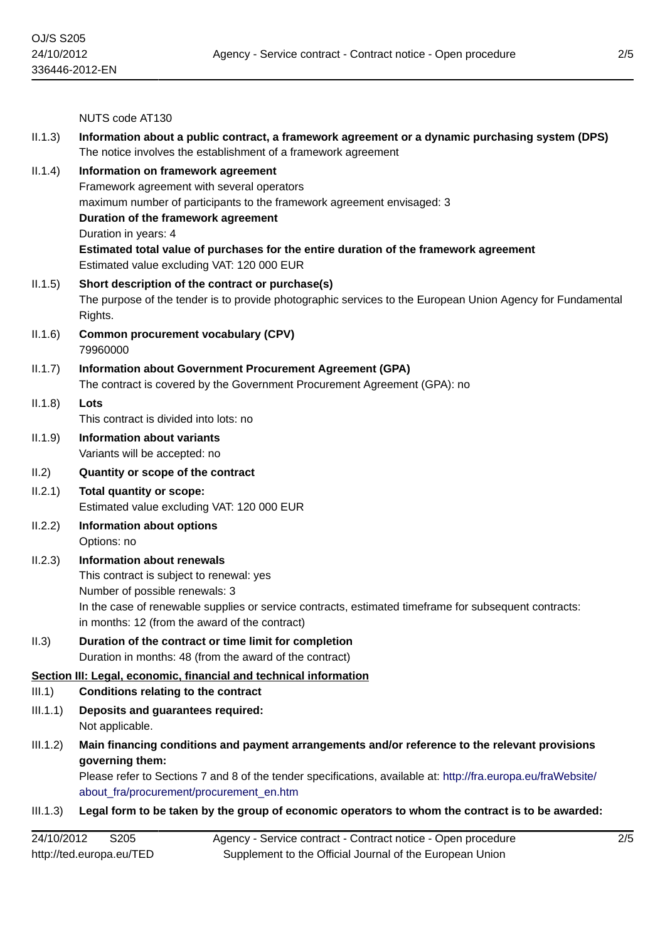|          | NUTS code AT130                                                                                                                                                                                                                                                                                                                                                  |
|----------|------------------------------------------------------------------------------------------------------------------------------------------------------------------------------------------------------------------------------------------------------------------------------------------------------------------------------------------------------------------|
| II.1.3)  | Information about a public contract, a framework agreement or a dynamic purchasing system (DPS)<br>The notice involves the establishment of a framework agreement                                                                                                                                                                                                |
| II.1.4)  | Information on framework agreement<br>Framework agreement with several operators<br>maximum number of participants to the framework agreement envisaged: 3<br>Duration of the framework agreement<br>Duration in years: 4<br>Estimated total value of purchases for the entire duration of the framework agreement<br>Estimated value excluding VAT: 120 000 EUR |
| II.1.5)  | Short description of the contract or purchase(s)<br>The purpose of the tender is to provide photographic services to the European Union Agency for Fundamental<br>Rights.                                                                                                                                                                                        |
| II.1.6)  | <b>Common procurement vocabulary (CPV)</b><br>79960000                                                                                                                                                                                                                                                                                                           |
| II.1.7)  | <b>Information about Government Procurement Agreement (GPA)</b><br>The contract is covered by the Government Procurement Agreement (GPA): no                                                                                                                                                                                                                     |
| II.1.8)  | Lots<br>This contract is divided into lots: no                                                                                                                                                                                                                                                                                                                   |
| II.1.9)  | <b>Information about variants</b><br>Variants will be accepted: no                                                                                                                                                                                                                                                                                               |
| II.2)    | Quantity or scope of the contract                                                                                                                                                                                                                                                                                                                                |
| II.2.1)  | <b>Total quantity or scope:</b><br>Estimated value excluding VAT: 120 000 EUR                                                                                                                                                                                                                                                                                    |
| II.2.2)  | Information about options<br>Options: no                                                                                                                                                                                                                                                                                                                         |
| II.2.3)  | <b>Information about renewals</b><br>This contract is subject to renewal: yes<br>Number of possible renewals: 3<br>In the case of renewable supplies or service contracts, estimated timeframe for subsequent contracts:<br>in months: 12 (from the award of the contract)                                                                                       |
| II.3)    | Duration of the contract or time limit for completion<br>Duration in months: 48 (from the award of the contract)                                                                                                                                                                                                                                                 |
|          | Section III: Legal, economic, financial and technical information                                                                                                                                                                                                                                                                                                |
| III.1)   | <b>Conditions relating to the contract</b>                                                                                                                                                                                                                                                                                                                       |
| III.1.1) | Deposits and guarantees required:<br>Not applicable.                                                                                                                                                                                                                                                                                                             |
| III.1.2) | Main financing conditions and payment arrangements and/or reference to the relevant provisions<br>governing them:<br>Please refer to Sections 7 and 8 of the tender specifications, available at: http://fra.europa.eu/fraWebsite/<br>about_fra/procurement/procurement_en.htm                                                                                   |
| III.1.3) | Legal form to be taken by the group of economic operators to whom the contract is to be awarded:                                                                                                                                                                                                                                                                 |
|          |                                                                                                                                                                                                                                                                                                                                                                  |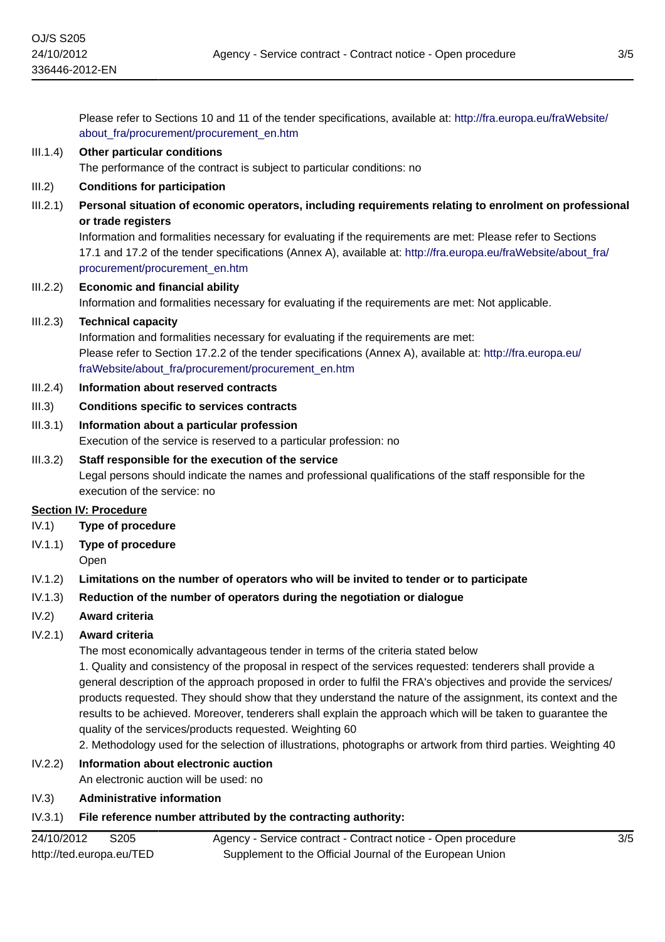Please refer to Sections 10 and 11 of the tender specifications, available at: [http://fra.europa.eu/fraWebsite/](http://fra.europa.eu/fraWebsite/about_fra/procurement/procurement_en.htm) about fra/procurement/procurement en.htm

# III.1.4) **Other particular conditions**

The performance of the contract is subject to particular conditions: no

### III.2) **Conditions for participation**

III.2.1) **Personal situation of economic operators, including requirements relating to enrolment on professional or trade registers**

Information and formalities necessary for evaluating if the requirements are met: Please refer to Sections 17.1 and 17.2 of the tender specifications (Annex A), available at: [http://fra.europa.eu/fraWebsite/about\\_fra/](http://fra.europa.eu/fraWebsite/about_fra/procurement/procurement_en.htm) [procurement/procurement\\_en.htm](http://fra.europa.eu/fraWebsite/about_fra/procurement/procurement_en.htm)

## III.2.2) **Economic and financial ability** Information and formalities necessary for evaluating if the requirements are met: Not applicable.

### III.2.3) **Technical capacity**

Information and formalities necessary for evaluating if the requirements are met: Please refer to Section 17.2.2 of the tender specifications (Annex A), available at: [http://fra.europa.eu/](http://fra.europa.eu/fraWebsite/about_fra/procurement/procurement_en.htm) [fraWebsite/about\\_fra/procurement/procurement\\_en.htm](http://fra.europa.eu/fraWebsite/about_fra/procurement/procurement_en.htm)

#### III.2.4) **Information about reserved contracts**

#### III.3) **Conditions specific to services contracts**

## III.3.1) **Information about a particular profession**

Execution of the service is reserved to a particular profession: no

#### III.3.2) **Staff responsible for the execution of the service**

Legal persons should indicate the names and professional qualifications of the staff responsible for the execution of the service: no

#### **Section IV: Procedure**

- IV.1) **Type of procedure**
- IV.1.1) **Type of procedure**
	- Open

### IV.1.2) **Limitations on the number of operators who will be invited to tender or to participate**

### IV.1.3) **Reduction of the number of operators during the negotiation or dialogue**

IV.2) **Award criteria**

### IV.2.1) **Award criteria**

The most economically advantageous tender in terms of the criteria stated below

1. Quality and consistency of the proposal in respect of the services requested: tenderers shall provide a general description of the approach proposed in order to fulfil the FRA's objectives and provide the services/ products requested. They should show that they understand the nature of the assignment, its context and the results to be achieved. Moreover, tenderers shall explain the approach which will be taken to guarantee the quality of the services/products requested. Weighting 60

2. Methodology used for the selection of illustrations, photographs or artwork from third parties. Weighting 40

## IV.2.2) **Information about electronic auction**

An electronic auction will be used: no

#### IV.3) **Administrative information**

## IV.3.1) **File reference number attributed by the contracting authority:**

| 24/10/2012<br>S <sub>205</sub> | Agency - Service contract - Contract notice - Open procedure |
|--------------------------------|--------------------------------------------------------------|
| http://ted.europa.eu/TED       | Supplement to the Official Journal of the European Union     |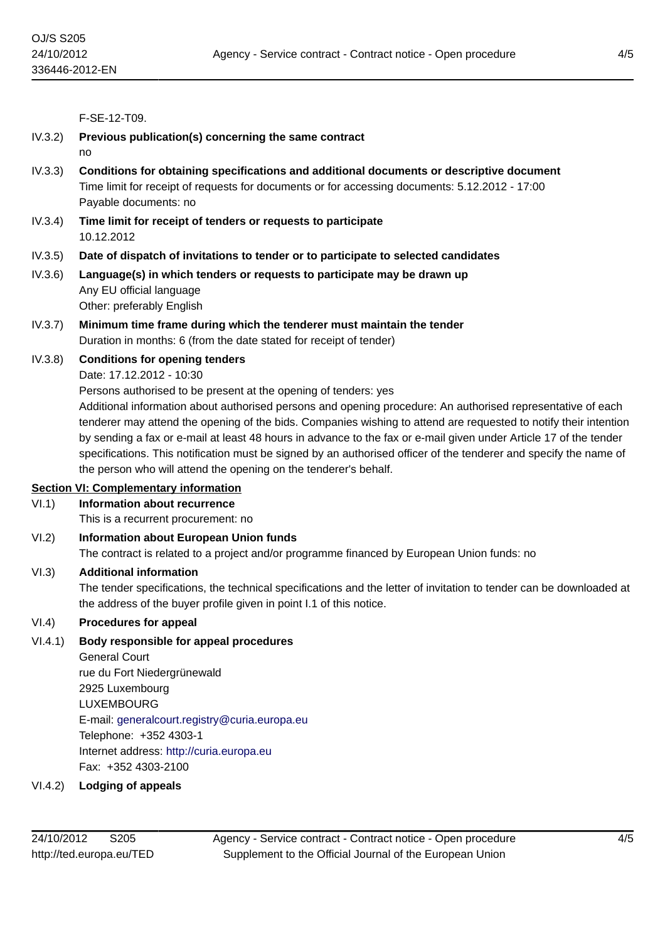F-SE-12-T09.

- IV.3.2) **Previous publication(s) concerning the same contract**
	- no
- IV.3.3) **Conditions for obtaining specifications and additional documents or descriptive document** Time limit for receipt of requests for documents or for accessing documents: 5.12.2012 - 17:00 Payable documents: no
- IV.3.4) **Time limit for receipt of tenders or requests to participate** 10.12.2012
- IV.3.5) **Date of dispatch of invitations to tender or to participate to selected candidates**
- IV.3.6) **Language(s) in which tenders or requests to participate may be drawn up** Any EU official language Other: preferably English
- IV.3.7) **Minimum time frame during which the tenderer must maintain the tender** Duration in months: 6 (from the date stated for receipt of tender)

### IV.3.8) **Conditions for opening tenders**

Date: 17.12.2012 - 10:30

Persons authorised to be present at the opening of tenders: yes

Additional information about authorised persons and opening procedure: An authorised representative of each tenderer may attend the opening of the bids. Companies wishing to attend are requested to notify their intention by sending a fax or e-mail at least 48 hours in advance to the fax or e-mail given under Article 17 of the tender specifications. This notification must be signed by an authorised officer of the tenderer and specify the name of the person who will attend the opening on the tenderer's behalf.

### **Section VI: Complementary information**

VI.1) **Information about recurrence**

This is a recurrent procurement: no

VI.2) **Information about European Union funds**

The contract is related to a project and/or programme financed by European Union funds: no

### VI.3) **Additional information**

The tender specifications, the technical specifications and the letter of invitation to tender can be downloaded at the address of the buyer profile given in point I.1 of this notice.

### VI.4) **Procedures for appeal**

### VI.4.1) **Body responsible for appeal procedures**

General Court rue du Fort Niedergrünewald 2925 Luxembourg LUXEMBOURG E-mail: [generalcourt.registry@curia.europa.eu](mailto:generalcourt.registry@curia.europa.eu) Telephone: +352 4303-1 Internet address: <http://curia.europa.eu> Fax: +352 4303-2100

VI.4.2) **Lodging of appeals**